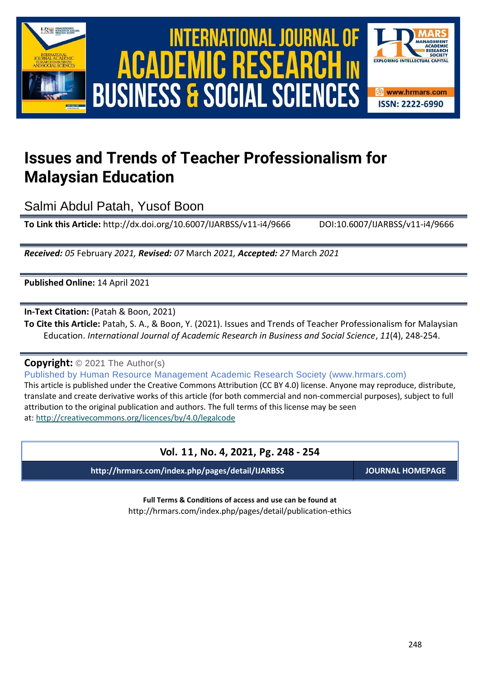

## International Journal of Academic Research in Business and Social Sciences **Vol. 1 1 , No. 4, 2021, E-ISSN: 2222-6990 © 2021 HRMARS ACADEMIC BUSINESS & SOCIAL SCIENCES**



## **Issues and Trends of Teacher Professionalism for Malaysian Education**

Salmi Abdul Patah, Yusof Boon

**To Link this Article:** http://dx.doi.org/10.6007/IJARBSS/v11-i4/9666 DOI:10.6007/IJARBSS/v11-i4/9666

*Received: 05* February *2021, Revised: 07* March *2021, Accepted: 27* March *2021*

**Published Online:** 14 April 2021

**In-Text Citation:** (Patah & Boon, 2021)

**To Cite this Article:** Patah, S. A., & Boon, Y. (2021). Issues and Trends of Teacher Professionalism for Malaysian Education. *International Journal of Academic Research in Business and Social Science*, *11*(4), 248-254.

**Copyright:** © 2021 The Author(s)

Published by Human Resource Management Academic Research Society (www.hrmars.com)

This article is published under the Creative Commons Attribution (CC BY 4.0) license. Anyone may reproduce, distribute, translate and create derivative works of this article (for both commercial and non-commercial purposes), subject to full attribution to the original publication and authors. The full terms of this license may be seen at: <http://creativecommons.org/licences/by/4.0/legalcode>

### **Vol. 11, No. 4, 2021, Pg. 248 - 254**

**http://hrmars.com/index.php/pages/detail/IJARBSS JOURNAL HOMEPAGE**

**Full Terms & Conditions of access and use can be found at** http://hrmars.com/index.php/pages/detail/publication-ethics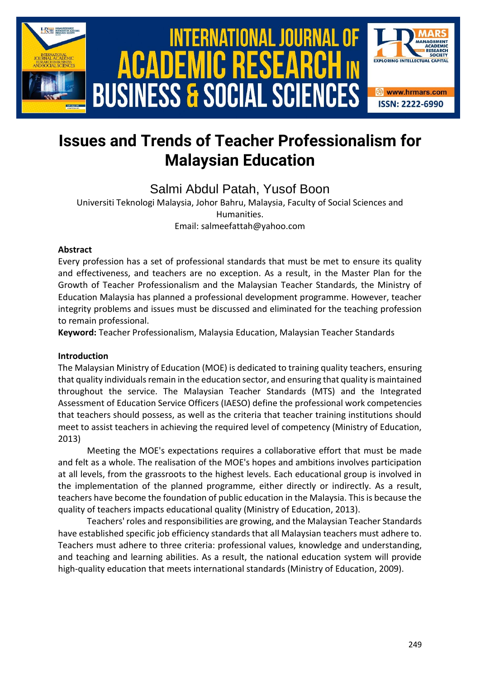

# International Journal of Academic Research in Business and Social Sciences **Vol. 1 1 , No. 4, 2021, E-ISSN: 2222-6990 © 2021 HRMARS ACADEMIC BUSINESS & SOCIAL SCIEN**



## **Issues and Trends of Teacher Professionalism for Malaysian Education**

Salmi Abdul Patah, Yusof Boon

Universiti Teknologi Malaysia, Johor Bahru, Malaysia, Faculty of Social Sciences and Humanities. Email: salmeefattah@yahoo.com

#### **Abstract**

Every profession has a set of professional standards that must be met to ensure its quality and effectiveness, and teachers are no exception. As a result, in the Master Plan for the Growth of Teacher Professionalism and the Malaysian Teacher Standards, the Ministry of Education Malaysia has planned a professional development programme. However, teacher integrity problems and issues must be discussed and eliminated for the teaching profession to remain professional.

**Keyword:** Teacher Professionalism, Malaysia Education, Malaysian Teacher Standards

#### **Introduction**

The Malaysian Ministry of Education (MOE) is dedicated to training quality teachers, ensuring that quality individuals remain in the education sector, and ensuring that quality is maintained throughout the service. The Malaysian Teacher Standards (MTS) and the Integrated Assessment of Education Service Officers (IAESO) define the professional work competencies that teachers should possess, as well as the criteria that teacher training institutions should meet to assist teachers in achieving the required level of competency (Ministry of Education, 2013)

Meeting the MOE's expectations requires a collaborative effort that must be made and felt as a whole. The realisation of the MOE's hopes and ambitions involves participation at all levels, from the grassroots to the highest levels. Each educational group is involved in the implementation of the planned programme, either directly or indirectly. As a result, teachers have become the foundation of public education in the Malaysia. This is because the quality of teachers impacts educational quality (Ministry of Education, 2013).

Teachers' roles and responsibilities are growing, and the Malaysian Teacher Standards have established specific job efficiency standards that all Malaysian teachers must adhere to. Teachers must adhere to three criteria: professional values, knowledge and understanding, and teaching and learning abilities. As a result, the national education system will provide high-quality education that meets international standards (Ministry of Education, 2009).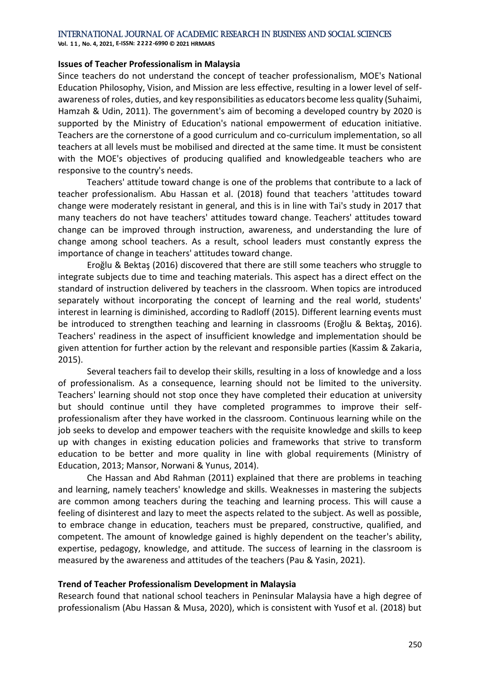**Vol. 1 1 , No. 4, 2021, E-ISSN: 2222-6990 © 2021 HRMARS**

#### **Issues of Teacher Professionalism in Malaysia**

Since teachers do not understand the concept of teacher professionalism, MOE's National Education Philosophy, Vision, and Mission are less effective, resulting in a lower level of selfawareness of roles, duties, and key responsibilities as educators become less quality (Suhaimi, Hamzah & Udin, 2011). The government's aim of becoming a developed country by 2020 is supported by the Ministry of Education's national empowerment of education initiative. Teachers are the cornerstone of a good curriculum and co-curriculum implementation, so all teachers at all levels must be mobilised and directed at the same time. It must be consistent with the MOE's objectives of producing qualified and knowledgeable teachers who are responsive to the country's needs.

Teachers' attitude toward change is one of the problems that contribute to a lack of teacher professionalism. Abu Hassan et al. (2018) found that teachers 'attitudes toward change were moderately resistant in general, and this is in line with Tai's study in 2017 that many teachers do not have teachers' attitudes toward change. Teachers' attitudes toward change can be improved through instruction, awareness, and understanding the lure of change among school teachers. As a result, school leaders must constantly express the importance of change in teachers' attitudes toward change.

Eroğlu & Bektaş (2016) discovered that there are still some teachers who struggle to integrate subjects due to time and teaching materials. This aspect has a direct effect on the standard of instruction delivered by teachers in the classroom. When topics are introduced separately without incorporating the concept of learning and the real world, students' interest in learning is diminished, according to Radloff (2015). Different learning events must be introduced to strengthen teaching and learning in classrooms (Eroğlu & Bektaş, 2016). Teachers' readiness in the aspect of insufficient knowledge and implementation should be given attention for further action by the relevant and responsible parties (Kassim & Zakaria, 2015).

Several teachers fail to develop their skills, resulting in a loss of knowledge and a loss of professionalism. As a consequence, learning should not be limited to the university. Teachers' learning should not stop once they have completed their education at university but should continue until they have completed programmes to improve their selfprofessionalism after they have worked in the classroom. Continuous learning while on the job seeks to develop and empower teachers with the requisite knowledge and skills to keep up with changes in existing education policies and frameworks that strive to transform education to be better and more quality in line with global requirements (Ministry of Education, 2013; Mansor, Norwani & Yunus, 2014).

Che Hassan and Abd Rahman (2011) explained that there are problems in teaching and learning, namely teachers' knowledge and skills. Weaknesses in mastering the subjects are common among teachers during the teaching and learning process. This will cause a feeling of disinterest and lazy to meet the aspects related to the subject. As well as possible, to embrace change in education, teachers must be prepared, constructive, qualified, and competent. The amount of knowledge gained is highly dependent on the teacher's ability, expertise, pedagogy, knowledge, and attitude. The success of learning in the classroom is measured by the awareness and attitudes of the teachers (Pau & Yasin, 2021).

#### **Trend of Teacher Professionalism Development in Malaysia**

Research found that national school teachers in Peninsular Malaysia have a high degree of professionalism (Abu Hassan & Musa, 2020), which is consistent with Yusof et al. (2018) but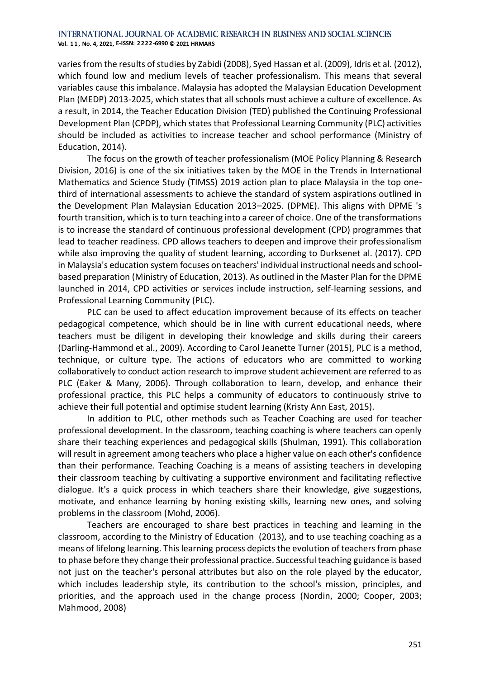**Vol. 1 1 , No. 4, 2021, E-ISSN: 2222-6990 © 2021 HRMARS**

varies from the results of studies by Zabidi (2008), Syed Hassan et al. (2009), Idris et al. (2012), which found low and medium levels of teacher professionalism. This means that several variables cause this imbalance. Malaysia has adopted the Malaysian Education Development Plan (MEDP) 2013-2025, which states that all schools must achieve a culture of excellence. As a result, in 2014, the Teacher Education Division (TED) published the Continuing Professional Development Plan (CPDP), which states that Professional Learning Community (PLC) activities should be included as activities to increase teacher and school performance (Ministry of Education, 2014).

The focus on the growth of teacher professionalism (MOE Policy Planning & Research Division, 2016) is one of the six initiatives taken by the MOE in the Trends in International Mathematics and Science Study (TIMSS) 2019 action plan to place Malaysia in the top onethird of international assessments to achieve the standard of system aspirations outlined in the Development Plan Malaysian Education 2013–2025. (DPME). This aligns with DPME 's fourth transition, which is to turn teaching into a career of choice. One of the transformations is to increase the standard of continuous professional development (CPD) programmes that lead to teacher readiness. CPD allows teachers to deepen and improve their professionalism while also improving the quality of student learning, according to Durksenet al. (2017). CPD in Malaysia's education system focuses on teachers' individual instructional needs and schoolbased preparation (Ministry of Education, 2013). As outlined in the Master Plan for the DPME launched in 2014, CPD activities or services include instruction, self-learning sessions, and Professional Learning Community (PLC).

PLC can be used to affect education improvement because of its effects on teacher pedagogical competence, which should be in line with current educational needs, where teachers must be diligent in developing their knowledge and skills during their careers (Darling-Hammond et al., 2009). According to Carol Jeanette Turner (2015), PLC is a method, technique, or culture type. The actions of educators who are committed to working collaboratively to conduct action research to improve student achievement are referred to as PLC (Eaker & Many, 2006). Through collaboration to learn, develop, and enhance their professional practice, this PLC helps a community of educators to continuously strive to achieve their full potential and optimise student learning (Kristy Ann East, 2015).

In addition to PLC, other methods such as Teacher Coaching are used for teacher professional development. In the classroom, teaching coaching is where teachers can openly share their teaching experiences and pedagogical skills (Shulman, 1991). This collaboration will result in agreement among teachers who place a higher value on each other's confidence than their performance. Teaching Coaching is a means of assisting teachers in developing their classroom teaching by cultivating a supportive environment and facilitating reflective dialogue. It's a quick process in which teachers share their knowledge, give suggestions, motivate, and enhance learning by honing existing skills, learning new ones, and solving problems in the classroom (Mohd, 2006).

Teachers are encouraged to share best practices in teaching and learning in the classroom, according to the Ministry of Education (2013), and to use teaching coaching as a means of lifelong learning. This learning process depicts the evolution of teachers from phase to phase before they change their professional practice. Successful teaching guidance is based not just on the teacher's personal attributes but also on the role played by the educator, which includes leadership style, its contribution to the school's mission, principles, and priorities, and the approach used in the change process (Nordin, 2000; Cooper, 2003; Mahmood, 2008)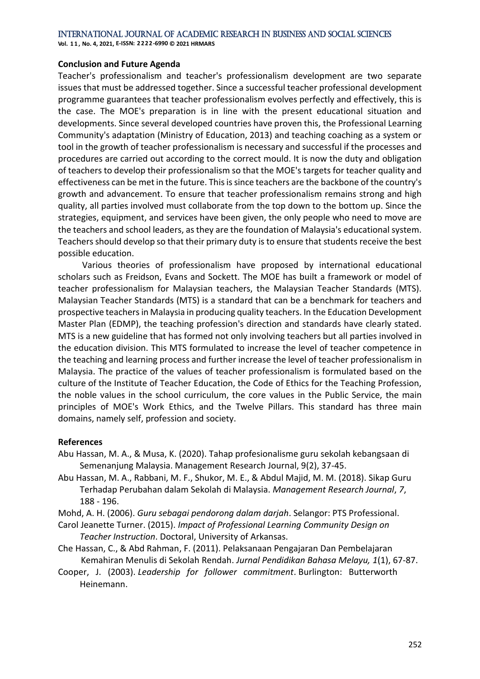**Vol. 1 1 , No. 4, 2021, E-ISSN: 2222-6990 © 2021 HRMARS**

#### **Conclusion and Future Agenda**

Teacher's professionalism and teacher's professionalism development are two separate issues that must be addressed together. Since a successful teacher professional development programme guarantees that teacher professionalism evolves perfectly and effectively, this is the case. The MOE's preparation is in line with the present educational situation and developments. Since several developed countries have proven this, the Professional Learning Community's adaptation (Ministry of Education, 2013) and teaching coaching as a system or tool in the growth of teacher professionalism is necessary and successful if the processes and procedures are carried out according to the correct mould. It is now the duty and obligation of teachers to develop their professionalism so that the MOE's targets for teacher quality and effectiveness can be met in the future. This is since teachers are the backbone of the country's growth and advancement. To ensure that teacher professionalism remains strong and high quality, all parties involved must collaborate from the top down to the bottom up. Since the strategies, equipment, and services have been given, the only people who need to move are the teachers and school leaders, as they are the foundation of Malaysia's educational system. Teachers should develop so that their primary duty is to ensure that students receive the best possible education.

 Various theories of professionalism have proposed by international educational scholars such as Freidson, Evans and Sockett. The MOE has built a framework or model of teacher professionalism for Malaysian teachers, the Malaysian Teacher Standards (MTS). Malaysian Teacher Standards (MTS) is a standard that can be a benchmark for teachers and prospective teachers in Malaysia in producing quality teachers. In the Education Development Master Plan (EDMP), the teaching profession's direction and standards have clearly stated. MTS is a new guideline that has formed not only involving teachers but all parties involved in the education division. This MTS formulated to increase the level of teacher competence in the teaching and learning process and further increase the level of teacher professionalism in Malaysia. The practice of the values of teacher professionalism is formulated based on the culture of the Institute of Teacher Education, the Code of Ethics for the Teaching Profession, the noble values in the school curriculum, the core values in the Public Service, the main principles of MOE's Work Ethics, and the Twelve Pillars. This standard has three main domains, namely self, profession and society.

#### **References**

- Abu Hassan, M. A., & Musa, K. (2020). Tahap profesionalisme guru sekolah kebangsaan di Semenanjung Malaysia. Management Research Journal, 9(2), 37-45.
- Abu Hassan, M. A., Rabbani, M. F., Shukor, M. E., & Abdul Majid, M. M. (2018). Sikap Guru Terhadap Perubahan dalam Sekolah di Malaysia. *Management Research Journal*, *7*, 188 - 196.

Mohd, A. H. (2006). *Guru sebagai pendorong dalam darjah*. Selangor: PTS Professional.

- Carol Jeanette Turner. (2015). *Impact of Professional Learning Community Design on Teacher Instruction*. Doctoral, University of Arkansas.
- Che Hassan, C., & Abd Rahman, F. (2011). Pelaksanaan Pengajaran Dan Pembelajaran Kemahiran Menulis di Sekolah Rendah. *Jurnal Pendidikan Bahasa Melayu, 1*(1), 67-87.
- Cooper, J. (2003). *Leadership for follower commitment*. Burlington: Butterworth Heinemann.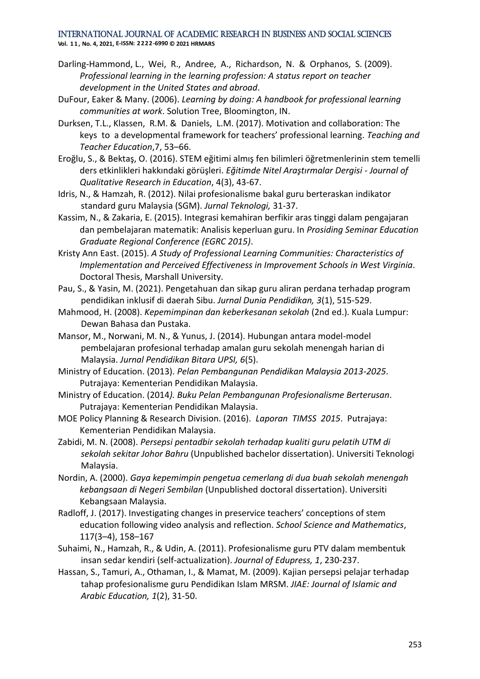#### International Journal of Academic Research in Business and Social Sciences **Vol. 1 1 , No. 4, 2021, E-ISSN: 2222-6990 © 2021 HRMARS**

- Darling-Hammond, L., Wei, R., Andree, A., Richardson, N. & Orphanos, S. (2009). *Professional learning in the learning profession: A status report on teacher development in the United States and abroad*.
- DuFour, Eaker & Many. (2006). *Learning by doing: A handbook for professional learning communities at work*. Solution Tree, Bloomington, IN.
- Durksen, T.L., Klassen, R.M. & Daniels, L.M. (2017). Motivation and collaboration: The keys to a developmental framework for teachers' professional learning. *Teaching and Teacher Education*,7, 53–66.
- Eroğlu, S., & Bektaş, O. (2016). STEM eğitimi almış fen bilimleri öğretmenlerinin stem temelli ders etkinlikleri hakkındaki görüşleri. *Eğitimde Nitel Araştırmalar Dergisi - Journal of Qualitative Research in Education*, 4(3), 43-67.
- Idris, N., & Hamzah, R. (2012). Nilai profesionalisme bakal guru berteraskan indikator standard guru Malaysia (SGM). *Jurnal Teknologi,* 31-37.
- Kassim, N., & Zakaria, E. (2015). Integrasi kemahiran berfikir aras tinggi dalam pengajaran dan pembelajaran matematik: Analisis keperluan guru. In *Prosiding Seminar Education Graduate Regional Conference (EGRC 2015)*.
- Kristy Ann East. (2015). *A Study of Professional Learning Communities: Characteristics of Implementation and Perceived Effectiveness in Improvement Schools in West Virginia*. Doctoral Thesis, Marshall University.
- Pau, S., & Yasin, M. (2021). Pengetahuan dan sikap guru aliran perdana terhadap program pendidikan inklusif di daerah Sibu. *Jurnal Dunia Pendidikan, 3*(1), 515-529.
- Mahmood, H. (2008). *Kepemimpinan dan keberkesanan sekolah* (2nd ed.). Kuala Lumpur: Dewan Bahasa dan Pustaka.
- Mansor, M., Norwani, M. N., & Yunus, J. (2014). Hubungan antara model-model pembelajaran profesional terhadap amalan guru sekolah menengah harian di Malaysia. *Jurnal Pendidikan Bitara UPSI, 6*(5).
- Ministry of Education. (2013). *Pelan Pembangunan Pendidikan Malaysia 2013-2025*. Putrajaya: Kementerian Pendidikan Malaysia.
- Ministry of Education. (2014*). Buku Pelan Pembangunan Profesionalisme Berterusan*. Putrajaya: Kementerian Pendidikan Malaysia.
- MOE Policy Planning & Research Division. (2016). *Laporan TIMSS 2015*. Putrajaya: Kementerian Pendidikan Malaysia.
- Zabidi, M. N. (2008). *Persepsi pentadbir sekolah terhadap kualiti guru pelatih UTM di sekolah sekitar Johor Bahru* (Unpublished bachelor dissertation). Universiti Teknologi Malaysia.
- Nordin, A. (2000). *Gaya kepemimpin pengetua cemerlang di dua buah sekolah menengah kebangsaan di Negeri Sembilan* (Unpublished doctoral dissertation). Universiti Kebangsaan Malaysia.
- Radloff, J. (2017). Investigating changes in preservice teachers' conceptions of stem education following video analysis and reflection. *School Science and Mathematics*, 117(3–4), 158–167
- Suhaimi, N., Hamzah, R., & Udin, A. (2011). Profesionalisme guru PTV dalam membentuk insan sedar kendiri (self-actualization). *Journal of Edupress, 1*, 230-237.
- Hassan, S., Tamuri, A., Othaman, I., & Mamat, M. (2009). Kajian persepsi pelajar terhadap tahap profesionalisme guru Pendidikan Islam MRSM. *JIAE: Journal of Islamic and Arabic Education, 1*(2), 31-50.